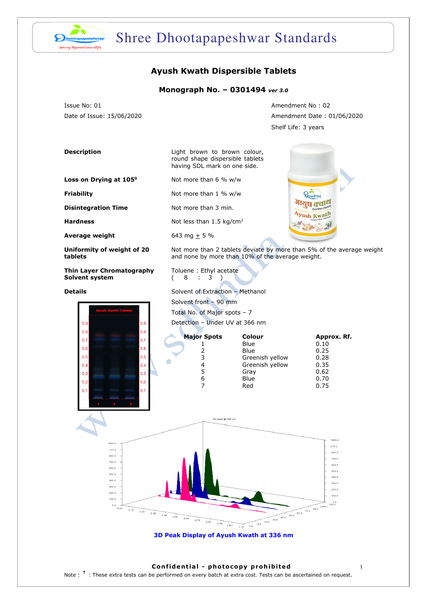

# Shree Dhootapapeshwar Standards

### **Ayush Kwath Dispersible Tablets**

#### **Monograph No. – 0301494** *ver 3.0*

Issue No: 01 Amendment No : 02

Date of Issue: 15/06/2020 Amendment Date : 01/06/2020 Shelf Life: 3 years

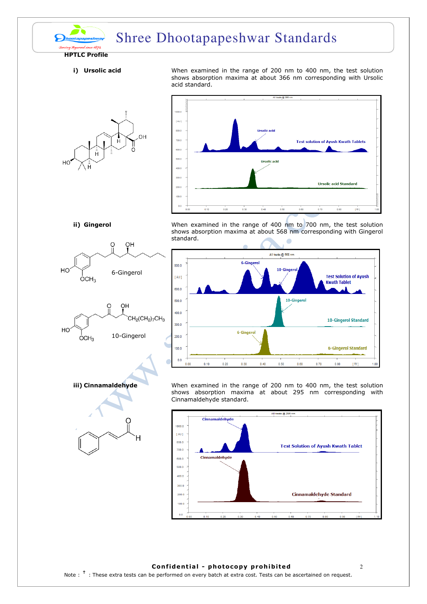

## Shree Dhootapapeshwar Standards

#### **HPTLC Profile**

**i) Ursolic acid When examined in the range of 200 nm to 400 nm, the test solution** shows absorption maxima at about 366 nm corresponding with Ursolic acid standard.





 $H\Omega$ 

 $OCH<sub>3</sub>$ 



10-Gingerol

**ii) Gingerol** When examined in the range of 400 nm to 700 nm, the test solution shows absorption maxima at about 568 nm corresponding with Gingerol standard.





**iii) Cinnamaldehyde** When examined in the range of 200 nm to 400 nm, the test solution shows absorption maxima at about 295 nm corresponding with Cinnamaldehyde standard.



#### **Confidential - photocopy prohibited** 2

Note :  $^{\dagger}$  : These extra tests can be performed on every batch at extra cost. Tests can be ascertained on request.